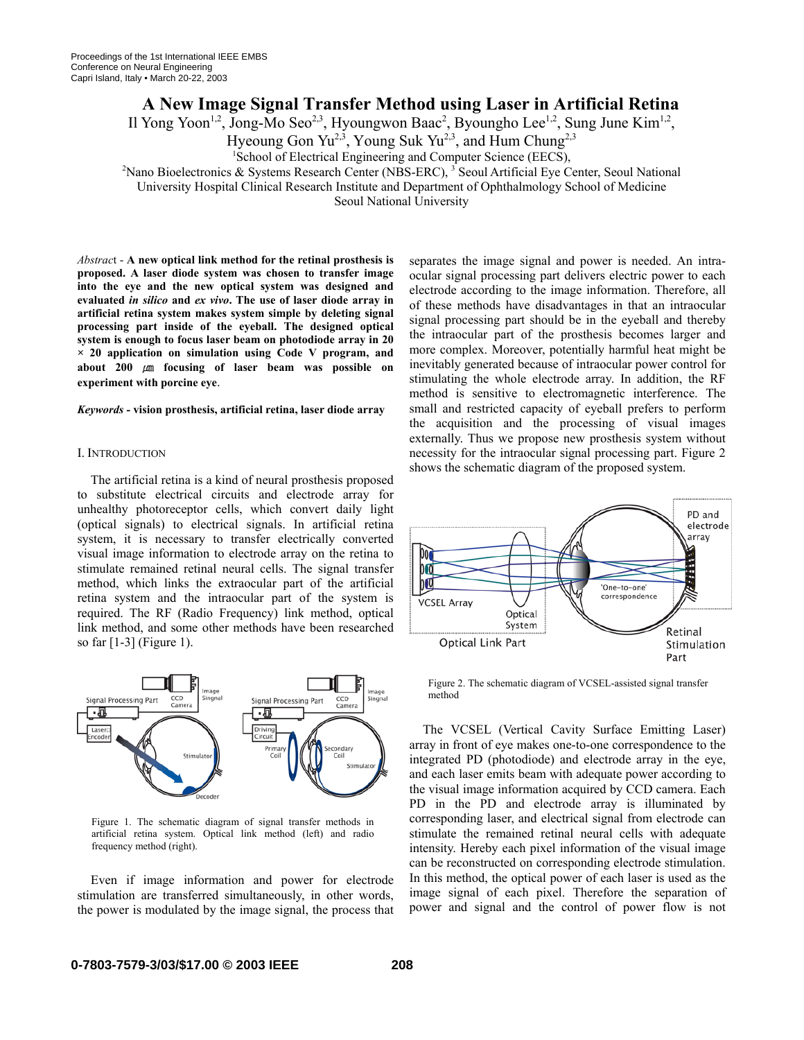# **A New Image Signal Transfer Method using Laser in Artificial Retina**

Il Yong Yoon<sup>1,2</sup>, Jong-Mo Seo<sup>2,3</sup>, Hyoungwon Baac<sup>2</sup>, Byoungho Lee<sup>1,2</sup>, Sung June Kim<sup>1,2</sup>,

Hyeoung Gon Yu<sup>2, 3</sup>, Young Suk Yu<sup>2, 3</sup>, and Hum Chung<sup>2, 3</sup>

<sup>2</sup> Nano Bioelectronics & Systems Research Center (NBS-ERC), <sup>3</sup> Seoul Artificial Eye Center, Seoul National

University Hospital Clinical Research Institute and Department of Ophthalmology School of Medicine

Seoul National University

*Abstrac*t - **A new optical link method for the retinal prosthesis is proposed. A laser diode system was chosen to transfer image into the eye and the new optical system was designed and evaluated** *in silico* **and** *ex vivo***. The use of laser diode array in artificial retina system makes system simple by deleting signal processing part inside of the eyeball. The designed optical system is enough to focus laser beam on photodiode array in 20 × 20 application on simulation using Code V program, and about 200** ㎛ **focusing of laser beam was possible on experiment with porcine eye**.

#### *Keywords -* **vision prosthesis, artificial retina, laser diode array**

#### I. INTRODUCTION

The artificial retina is a kind of neural prosthesis proposed to substitute electrical circuits and electrode array for unhealthy photoreceptor cells, which convert daily light (optical signals) to electrical signals. In artificial retina system, it is necessary to transfer electrically converted visual image information to electrode array on the retina to stimulate remained retinal neural cells. The signal transfer method, which links the extraocular part of the artificial retina system and the intraocular part of the system is required. The RF (Radio Frequency) link method, optical link method, and some other methods have been researched so far [1-3] (Figure 1).



Figure 1. The schematic diagram of signal transfer methods in artificial retina system. Optical link method (left) and radio frequency method (right).

Even if image information and power for electrode stimulation are transferred simultaneously, in other words, the power is modulated by the image signal, the process that separates the image signal and power is needed. An intraocular signal processing part delivers electric power to each electrode according to the image information. Therefore, all of these methods have disadvantages in that an intraocular signal processing part should be in the eyeball and thereby the intraocular part of the prosthesis becomes larger and more complex. Moreover, potentially harmful heat might be inevitably generated because of intraocular power control for stimulating the whole electrode array. In addition, the RF method is sensitive to electromagnetic interference. The small and restricted capacity of eyeball prefers to perform the acquisition and the processing of visual images externally. Thus we propose new prosthesis system without necessity for the intraocular signal processing part. Figure 2 shows the schematic diagram of the proposed system.



Figure 2. The schematic diagram of VCSEL-assisted signal transfer method

The VCSEL (Vertical Cavity Surface Emitting Laser) array in front of eye makes one-to-one correspondence to the integrated PD (photodiode) and electrode array in the eye, and each laser emits beam with adequate power according to the visual image information acquired by CCD camera. Each PD in the PD and electrode array is illuminated by corresponding laser, and electrical signal from electrode can stimulate the remained retinal neural cells with adequate intensity. Hereby each pixel information of the visual image can be reconstructed on corresponding electrode stimulation. In this method, the optical power of each laser is used as the image signal of each pixel. Therefore the separation of power and signal and the control of power flow is not

<sup>&</sup>lt;sup>1</sup>School of Electrical Engineering and Computer Science (EECS),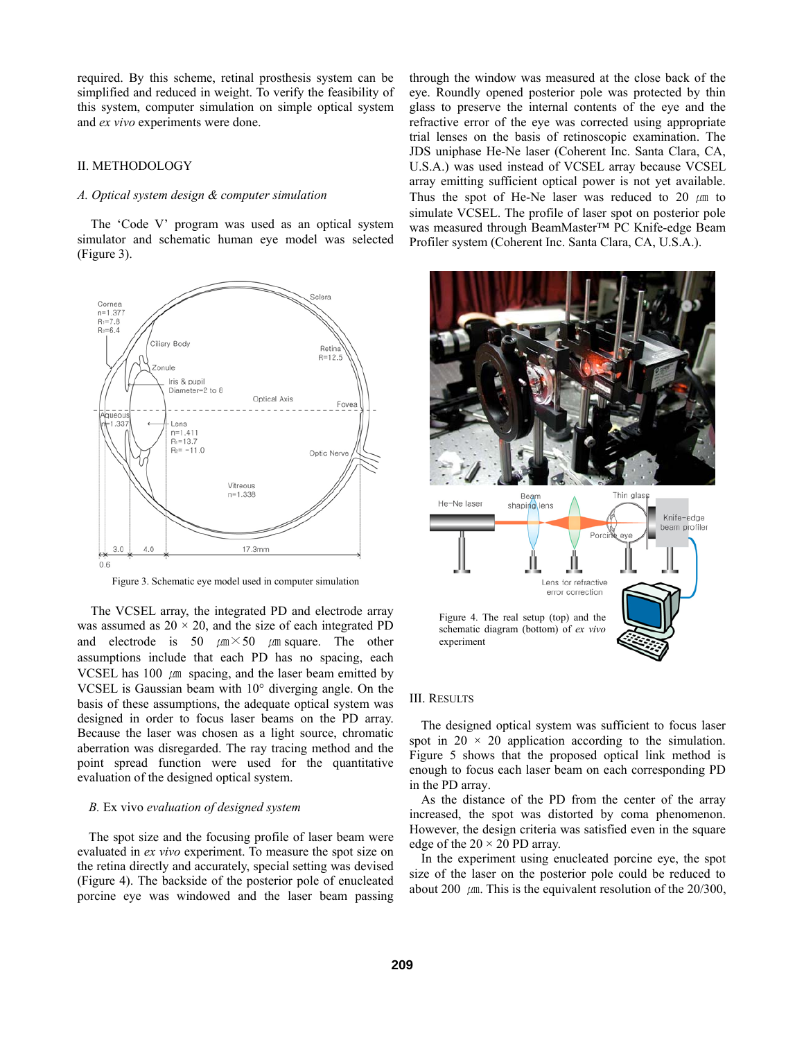required. By this scheme, retinal prosthesis system can be simplified and reduced in weight. To verify the feasibility of this system, computer simulation on simple optical system and *ex vivo* experiments were done.

# II. METHODOLOGY

# *A. Optical system design & computer simulation*

The 'Code V' program was used as an optical system simulator and schematic human eye model was selected (Figure 3).



Figure 3. Schematic eye model used in computer simulation

The VCSEL array, the integrated PD and electrode array was assumed as  $20 \times 20$ , and the size of each integrated PD and electrode is 50  $\mu$ m × 50  $\mu$ m square. The other assumptions include that each PD has no spacing, each VCSEL has  $100 \mu m$  spacing, and the laser beam emitted by VCSEL is Gaussian beam with 10° diverging angle. On the basis of these assumptions, the adequate optical system was designed in order to focus laser beams on the PD array. Because the laser was chosen as a light source, chromatic aberration was disregarded. The ray tracing method and the point spread function were used for the quantitative evaluation of the designed optical system.

#### *B.* Ex vivo *evaluation of designed system*

The spot size and the focusing profile of laser beam were evaluated in *ex vivo* experiment. To measure the spot size on the retina directly and accurately, special setting was devised (Figure 4). The backside of the posterior pole of enucleated porcine eye was windowed and the laser beam passing through the window was measured at the close back of the eye. Roundly opened posterior pole was protected by thin glass to preserve the internal contents of the eye and the refractive error of the eye was corrected using appropriate trial lenses on the basis of retinoscopic examination. The JDS uniphase He-Ne laser (Coherent Inc. Santa Clara, CA, U.S.A.) was used instead of VCSEL array because VCSEL array emitting sufficient optical power is not yet available. Thus the spot of He-Ne laser was reduced to 20  $\mu$ m to simulate VCSEL. The profile of laser spot on posterior pole was measured through BeamMaster™ PC Knife-edge Beam Profiler system (Coherent Inc. Santa Clara, CA, U.S.A.).



# III. RESULTS

The designed optical system was sufficient to focus laser spot in  $20 \times 20$  application according to the simulation. Figure 5 shows that the proposed optical link method is enough to focus each laser beam on each corresponding PD in the PD array.

As the distance of the PD from the center of the array increased, the spot was distorted by coma phenomenon. However, the design criteria was satisfied even in the square edge of the  $20 \times 20$  PD array.

In the experiment using enucleated porcine eye, the spot size of the laser on the posterior pole could be reduced to about 200  $\mu$ m. This is the equivalent resolution of the 20/300,